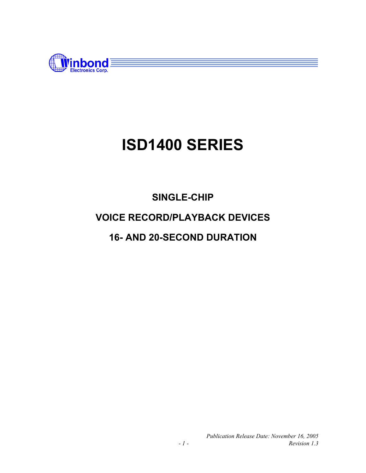

## **SINGLE-CHIP VOICE RECORD/PLAYBACK DEVICES 16- AND 20-SECOND DURATION**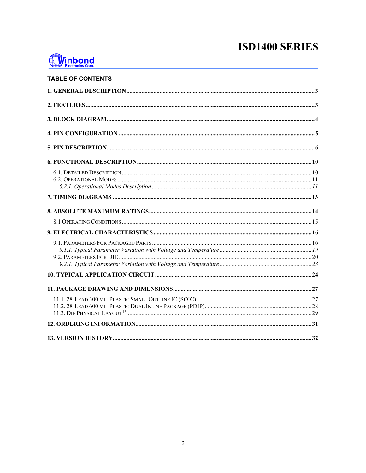

#### **TABLE OF CONTENTS**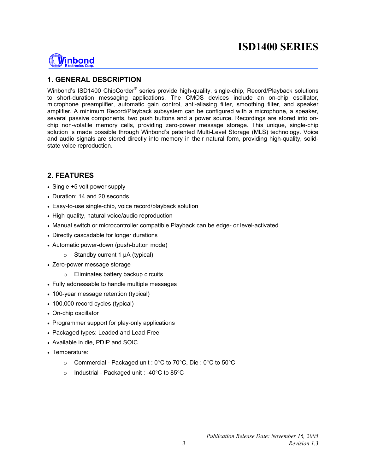

#### **1. GENERAL DESCRIPTION**

Winbond's ISD1400 ChipCorder® series provide high-quality, single-chip, Record/Playback solutions to short-duration messaging applications. The CMOS devices include an on-chip oscillator, microphone preamplifier, automatic gain control, anti-aliasing filter, smoothing filter, and speaker amplifier. A minimum Record/Playback subsystem can be configured with a microphone, a speaker, several passive components, two push buttons and a power source. Recordings are stored into onchip non-volatile memory cells, providing zero-power message storage. This unique, single-chip solution is made possible through Winbond's patented Multi-Level Storage (MLS) technology. Voice and audio signals are stored directly into memory in their natural form, providing high-quality, solidstate voice reproduction.

#### **2. FEATURES**

- Single +5 volt power supply
- Duration: 14 and 20 seconds.
- Easy-to-use single-chip, voice record/playback solution
- High-quality, natural voice/audio reproduction
- Manual switch or microcontroller compatible Playback can be edge- or level-activated
- Directly cascadable for longer durations
- Automatic power-down (push-button mode)
	- $\circ$  Standby current 1  $\mu$ A (typical)
- Zero-power message storage
	- o Eliminates battery backup circuits
- Fully addressable to handle multiple messages
- 100-year message retention (typical)
- 100,000 record cycles (typical)
- On-chip oscillator
- Programmer support for play-only applications
- Packaged types: Leaded and Lead-Free
- Available in die, PDIP and SOIC
- Temperature:
	- $\circ$  Commercial Packaged unit : 0°C to 70°C, Die : 0°C to 50°C
	- o Industrial Packaged unit : -40 $\degree$ C to 85 $\degree$ C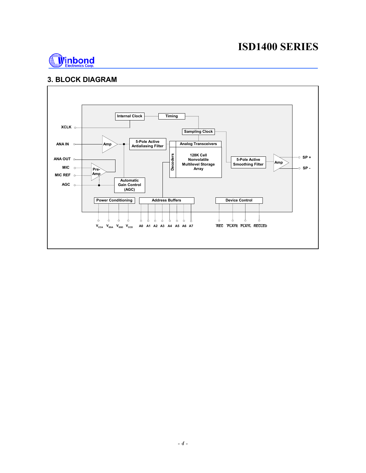

#### **3. BLOCK DIAGRAM**

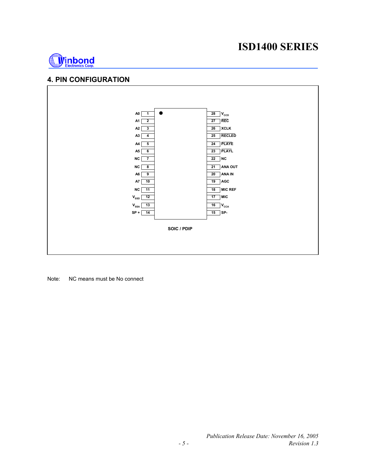

#### **4. PIN CONFIGURATION**



Note: NC means must be No connect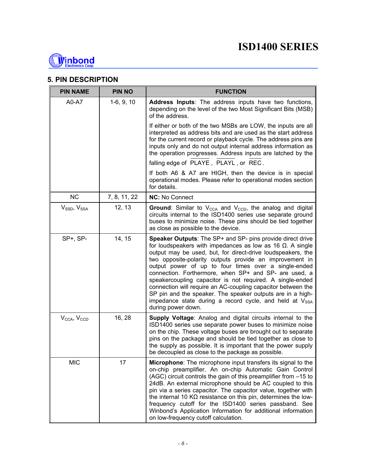

#### **5. PIN DESCRIPTION**

| <b>PIN NAME</b>                     | <b>PIN NO</b> | <b>FUNCTION</b>                                                                                                                                                                                                                                                                                                                                                                                                                                                                                                                                                                                                                                             |
|-------------------------------------|---------------|-------------------------------------------------------------------------------------------------------------------------------------------------------------------------------------------------------------------------------------------------------------------------------------------------------------------------------------------------------------------------------------------------------------------------------------------------------------------------------------------------------------------------------------------------------------------------------------------------------------------------------------------------------------|
| A0-A7                               | $1-6, 9, 10$  | Address Inputs: The address inputs have two functions,<br>depending on the level of the two Most Significant Bits (MSB)<br>of the address.                                                                                                                                                                                                                                                                                                                                                                                                                                                                                                                  |
|                                     |               | If either or both of the two MSBs are LOW, the inputs are all<br>interpreted as address bits and are used as the start address<br>for the current record or playback cycle. The address pins are<br>inputs only and do not output internal address information as<br>the operation progresses. Address inputs are latched by the                                                                                                                                                                                                                                                                                                                            |
|                                     |               | falling edge of PLAYE, PLAYL, or REC.                                                                                                                                                                                                                                                                                                                                                                                                                                                                                                                                                                                                                       |
|                                     |               | If both A6 & A7 are HIGH, then the device is in special<br>operational modes. Please refer to operational modes section<br>for details.                                                                                                                                                                                                                                                                                                                                                                                                                                                                                                                     |
| <b>NC</b>                           | 7, 8, 11, 22  | <b>NC: No Connect</b>                                                                                                                                                                                                                                                                                                                                                                                                                                                                                                                                                                                                                                       |
| $V_{SSD}$ , $V_{SSA}$               | 12, 13        | Ground: Similar to $V_{\text{CCA}}$ and $V_{\text{CCD}}$ , the analog and digital<br>circuits internal to the ISD1400 series use separate ground<br>buses to minimize noise. These pins should be tied together<br>as close as possible to the device.                                                                                                                                                                                                                                                                                                                                                                                                      |
| SP+, SP-                            | 14, 15        | Speaker Outputs: The SP+ and SP- pins provide direct drive<br>for loudspeakers with impedances as low as 16 $\Omega$ . A single<br>output may be used, but, for direct-drive loudspeakers, the<br>two opposite-polarity outputs provide an improvement in<br>output power of up to four times over a single-ended<br>connection. Forthermore, when SP+ and SP- are used, a<br>speakercoupling capacitor is not required. A single-ended<br>connection will require an AC-coupling capacitor between the<br>SP pin and the speaker. The speaker outputs are in a high-<br>impedance state during a record cycle, and held at $V_{SSA}$<br>during power down. |
| $V_{\text{CCA}}$ , $V_{\text{CCD}}$ | 16, 28        | <b>Supply Voltage:</b> Analog and digital circuits internal to the<br>ISD1400 series use separate power buses to minimize noise<br>on the chip. These voltage buses are brought out to separate<br>pins on the package and should be tied together as close to<br>the supply as possible. It is important that the power supply<br>be decoupled as close to the package as possible.                                                                                                                                                                                                                                                                        |
| <b>MIC</b>                          | 17            | <b>Microphone:</b> The microphone input transfers its signal to the<br>on-chip preamplifier. An on-chip Automatic Gain Control<br>(AGC) circuit controls the gain of this preamplifier from -15 to<br>24dB. An external microphone should be AC coupled to this<br>pin via a series capacitor. The capacitor value, together with<br>the internal 10 $K\Omega$ resistance on this pin, determines the low-<br>frequency cutoff for the ISD1400 series passband. See<br>Winbond's Application Information for additional information<br>on low-frequency cutoff calculation.                                                                                 |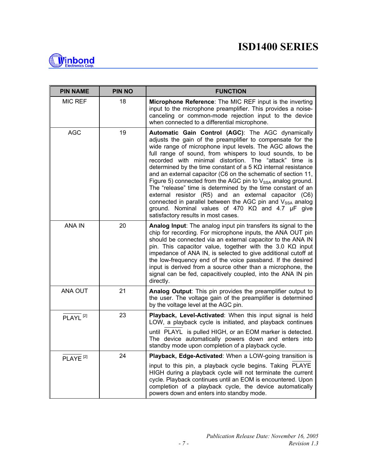

| <b>PIN NAME</b>      | <b>PIN NO</b> | <b>FUNCTION</b>                                                                                                                                                                                                                                                                                                                                                                                                                                                                                                                                                                                                                                                                                                                                                                                                         |
|----------------------|---------------|-------------------------------------------------------------------------------------------------------------------------------------------------------------------------------------------------------------------------------------------------------------------------------------------------------------------------------------------------------------------------------------------------------------------------------------------------------------------------------------------------------------------------------------------------------------------------------------------------------------------------------------------------------------------------------------------------------------------------------------------------------------------------------------------------------------------------|
| <b>MIC REF</b>       | 18            | Microphone Reference: The MIC REF input is the inverting<br>input to the microphone preamplifier. This provides a noise-<br>canceling or common-mode rejection input to the device<br>when connected to a differential microphone.                                                                                                                                                                                                                                                                                                                                                                                                                                                                                                                                                                                      |
| <b>AGC</b>           | 19            | Automatic Gain Control (AGC): The AGC dynamically<br>adjusts the gain of the preamplifier to compensate for the<br>wide range of microphone input levels. The AGC allows the<br>full range of sound, from whispers to loud sounds, to be<br>recorded with minimal distortion. The "attack" time is<br>determined by the time constant of a 5 $K\Omega$ internal resistance<br>and an external capacitor (C6 on the schematic of section 11,<br>Figure 5) connected from the AGC pin to $V_{SSA}$ analog ground.<br>The "release" time is determined by the time constant of an<br>external resistor (R5) and an external capacitor (C6)<br>connected in parallel between the AGC pin and V <sub>SSA</sub> analog<br>ground. Nominal values of 470 $K\Omega$ and 4.7 $\mu$ F give<br>satisfactory results in most cases. |
| <b>ANA IN</b>        | 20            | Analog Input: The analog input pin transfers its signal to the<br>chip for recording. For microphone inputs, the ANA OUT pin<br>should be connected via an external capacitor to the ANA IN<br>pin. This capacitor value, together with the 3.0 $K\Omega$ input<br>impedance of ANA IN, is selected to give additional cutoff at<br>the low-frequency end of the voice passband. If the desired<br>input is derived from a source other than a microphone, the<br>signal can be fed, capacitively coupled, into the ANA IN pin<br>directly.                                                                                                                                                                                                                                                                             |
| ANA OUT              | 21            | Analog Output: This pin provides the preamplifier output to<br>the user. The voltage gain of the preamplifier is determined<br>by the voltage level at the AGC pin.                                                                                                                                                                                                                                                                                                                                                                                                                                                                                                                                                                                                                                                     |
| PLAYL <sup>[2]</sup> | 23            | Playback, Level-Activated: When this input signal is held<br>LOW, a playback cycle is initiated, and playback continues<br>until PLAYL is pulled HIGH, or an EOM marker is detected.<br>The device automatically powers down and enters into                                                                                                                                                                                                                                                                                                                                                                                                                                                                                                                                                                            |
|                      |               | standby mode upon completion of a playback cycle.                                                                                                                                                                                                                                                                                                                                                                                                                                                                                                                                                                                                                                                                                                                                                                       |
| PLAYE <sup>[2]</sup> | 24            | Playback, Edge-Activated: When a LOW-going transition is                                                                                                                                                                                                                                                                                                                                                                                                                                                                                                                                                                                                                                                                                                                                                                |
|                      |               | input to this pin, a playback cycle begins. Taking PLAYE<br>HIGH during a playback cycle will not terminate the current<br>cycle. Playback continues until an EOM is encountered. Upon<br>completion of a playback cycle, the device automatically<br>powers down and enters into standby mode.                                                                                                                                                                                                                                                                                                                                                                                                                                                                                                                         |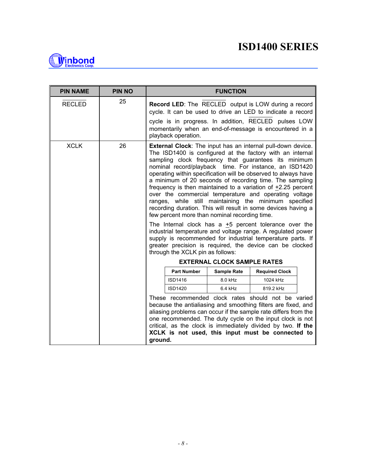

| <b>PIN NAME</b> | <b>PIN NO</b> |                                                                                                                           |                                  | <b>FUNCTION</b>                               |                                                                                                                                                                                                                                                                                                                                                                                                                                                                                                                                                                                                                                                                                                                                                                                                                                                                                        |
|-----------------|---------------|---------------------------------------------------------------------------------------------------------------------------|----------------------------------|-----------------------------------------------|----------------------------------------------------------------------------------------------------------------------------------------------------------------------------------------------------------------------------------------------------------------------------------------------------------------------------------------------------------------------------------------------------------------------------------------------------------------------------------------------------------------------------------------------------------------------------------------------------------------------------------------------------------------------------------------------------------------------------------------------------------------------------------------------------------------------------------------------------------------------------------------|
| <b>RECLED</b>   | 25            | <b>Record LED:</b> The RECLED output is LOW during a record<br>cycle. It can be used to drive an LED to indicate a record |                                  |                                               |                                                                                                                                                                                                                                                                                                                                                                                                                                                                                                                                                                                                                                                                                                                                                                                                                                                                                        |
|                 |               |                                                                                                                           | playback operation.              |                                               | cycle is in progress. In addition, RECLED pulses LOW<br>momentarily when an end-of-message is encountered in a                                                                                                                                                                                                                                                                                                                                                                                                                                                                                                                                                                                                                                                                                                                                                                         |
| <b>XCLK</b>     | 26            |                                                                                                                           | through the XCLK pin as follows: | few percent more than nominal recording time. | <b>External Clock:</b> The input has an internal pull-down device.<br>The ISD1400 is configured at the factory with an internal<br>sampling clock frequency that guarantees its minimum<br>nominal record/playback time. For instance, an ISD1420<br>operating within specification will be observed to always have<br>a minimum of 20 seconds of recording time. The sampling<br>frequency is then maintained to a variation of +2.25 percent<br>over the commercial temperature and operating voltage<br>ranges, while still maintaining the minimum specified<br>recording duration. This will result in some devices having a<br>The Internal clock has a $+5$ percent tolerance over the<br>industrial temperature and voltage range. A regulated power<br>supply is recommended for industrial temperature parts. If<br>greater precision is required, the device can be clocked |
|                 |               |                                                                                                                           |                                  | <b>EXTERNAL CLOCK SAMPLE RATES</b>            |                                                                                                                                                                                                                                                                                                                                                                                                                                                                                                                                                                                                                                                                                                                                                                                                                                                                                        |
|                 |               |                                                                                                                           | <b>Part Number</b>               | <b>Sample Rate</b>                            | <b>Required Clock</b>                                                                                                                                                                                                                                                                                                                                                                                                                                                                                                                                                                                                                                                                                                                                                                                                                                                                  |
|                 |               |                                                                                                                           | ISD1416                          | 8.0 kHz                                       | 1024 kHz                                                                                                                                                                                                                                                                                                                                                                                                                                                                                                                                                                                                                                                                                                                                                                                                                                                                               |
|                 |               |                                                                                                                           | <b>ISD1420</b>                   | $6.4$ kHz                                     | 819.2 kHz                                                                                                                                                                                                                                                                                                                                                                                                                                                                                                                                                                                                                                                                                                                                                                                                                                                                              |
|                 |               | ground.                                                                                                                   |                                  |                                               | These recommended clock rates should not be varied<br>because the antialiasing and smoothing filters are fixed, and<br>aliasing problems can occur if the sample rate differs from the<br>one recommended. The duty cycle on the input clock is not<br>critical, as the clock is immediately divided by two. If the<br>XCLK is not used, this input must be connected to                                                                                                                                                                                                                                                                                                                                                                                                                                                                                                               |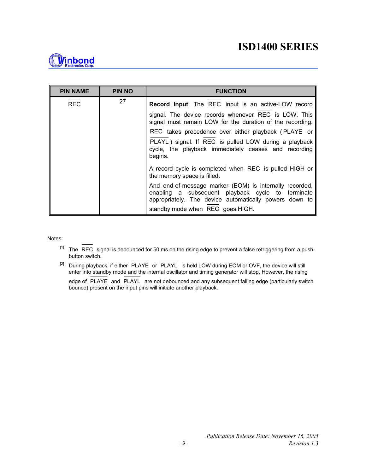

| <b>PIN NAME</b> | <b>PIN NO</b> | <b>FUNCTION</b>                                                                                                                                                        |
|-----------------|---------------|------------------------------------------------------------------------------------------------------------------------------------------------------------------------|
| <b>REC</b>      | 27            | <b>Record Input:</b> The REC input is an active-LOW record                                                                                                             |
|                 |               | signal. The device records whenever REC is LOW. This<br>signal must remain LOW for the duration of the recording.                                                      |
|                 |               | REC takes precedence over either playback (PLAYE or                                                                                                                    |
|                 |               | PLAYL) signal. If REC is pulled LOW during a playback<br>cycle, the playback immediately ceases and recording<br>begins.                                               |
|                 |               | A record cycle is completed when REC is pulled HIGH or<br>the memory space is filled.                                                                                  |
|                 |               | And end-of-message marker (EOM) is internally recorded,<br>enabling a subsequent playback cycle to terminate<br>appropriately. The device automatically powers down to |
|                 |               | standby mode when REC goes HIGH.                                                                                                                                       |

Notes:

- $[1]$  The  $\overline{REC}$  signal is debounced for 50 ms on the rising edge to prevent a false retriggering from a pushbutton switch.
- [2] During playback, if either PLAYE or PLAYL is held LOW during EOM or OVF, the device will still enter into standby mode and the internal oscillator and timing generator will stop. However, the rising
	- edge of PLAYE and PLAYL are not debounced and any subsequent falling edge (particularly switch bounce) present on the input pins will initiate another playback.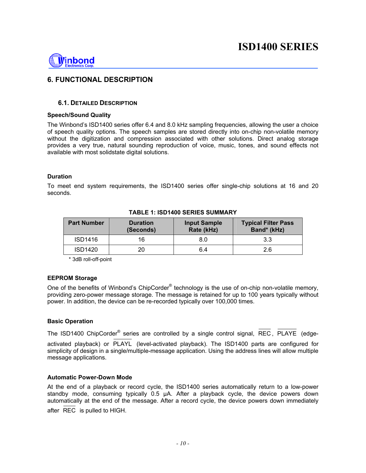

#### **6. FUNCTIONAL DESCRIPTION**

#### **6.1. DETAILED DESCRIPTION**

#### **Speech/Sound Quality**

The Winbond's ISD1400 series offer 6.4 and 8.0 kHz sampling frequencies, allowing the user a choice of speech quality options. The speech samples are stored directly into on-chip non-volatile memory without the digitization and compression associated with other solutions. Direct analog storage provides a very true, natural sounding reproduction of voice, music, tones, and sound effects not available with most solidstate digital solutions.

#### **Duration**

To meet end system requirements, the ISD1400 series offer single-chip solutions at 16 and 20 seconds.

| <b>Part Number</b> | <b>Duration</b><br>(Seconds) | <b>Input Sample</b><br>Rate (kHz) | <b>Typical Filter Pass</b><br>Band* (kHz) |
|--------------------|------------------------------|-----------------------------------|-------------------------------------------|
| <b>ISD1416</b>     | 16                           | 8.0                               | 3.3                                       |
| <b>ISD1420</b>     | 20                           | 6.4                               | 2.6                                       |

#### **TABLE 1: ISD1400 SERIES SUMMARY**

\* 3dB roll-off-point

#### **EEPROM Storage**

One of the benefits of Winbond's ChipCorder® technology is the use of on-chip non-volatile memory, providing zero-power message storage. The message is retained for up to 100 years typically without power. In addition, the device can be re-recorded typically over 100,000 times.

#### **Basic Operation**

The ISD1400 ChipCorder<sup>®</sup> series are controlled by a single control signal, REC, PLAYE (edgeactivated playback) or PLAYL (level-activated playback). The ISD1400 parts are configured for simplicity of design in a single/multiple-message application. Using the address lines will allow multiple message applications.

#### **Automatic Power-Down Mode**

At the end of a playback or record cycle, the ISD1400 series automatically return to a low-power standby mode, consuming typically 0.5 µA. After a playback cycle, the device powers down automatically at the end of the message. After a record cycle, the device powers down immediately after REC is pulled to HIGH.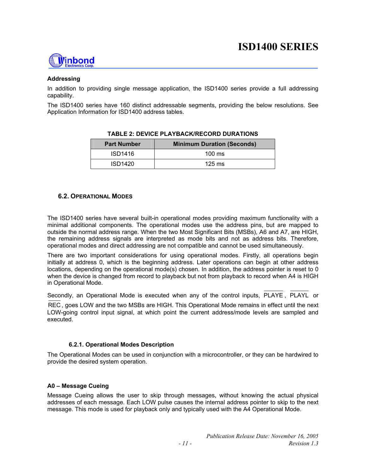

#### **Addressing**

In addition to providing single message application, the ISD1400 series provide a full addressing capability.

The ISD1400 series have 160 distinct addressable segments, providing the below resolutions. See Application Information for ISD1400 address tables.

| <b>Part Number</b> | <b>Minimum Duration (Seconds)</b> |
|--------------------|-----------------------------------|
| ISD1416            | $100 \text{ ms}$                  |
| ISD1420            | $125 \text{ ms}$                  |

#### **TABLE 2: DEVICE PLAYBACK/RECORD DURATIONS**

#### **6.2. OPERATIONAL MODES**

The ISD1400 series have several built-in operational modes providing maximum functionality with a minimal additional components. The operational modes use the address pins, but are mapped to outside the normal address range. When the two Most Significant Bits (MSBs), A6 and A7, are HIGH, the remaining address signals are interpreted as mode bits and not as address bits. Therefore, operational modes and direct addressing are not compatible and cannot be used simultaneously.

There are two important considerations for using operational modes. Firstly, all operations begin initially at address 0, which is the beginning address. Later operations can begin at other address locations, depending on the operational mode(s) chosen. In addition, the address pointer is reset to 0 when the device is changed from record to playback but not from playback to record when A4 is HIGH in Operational Mode.

Secondly, an Operational Mode is executed when any of the control inputs, PLAYE , PLAYL or

REC , goes LOW and the two MSBs are HIGH. This Operational Mode remains in effect until the next LOW-going control input signal, at which point the current address/mode levels are sampled and executed.

#### **6.2.1. Operational Modes Description**

The Operational Modes can be used in conjunction with a microcontroller, or they can be hardwired to provide the desired system operation.

#### **A0 – Message Cueing**

Message Cueing allows the user to skip through messages, without knowing the actual physical addresses of each message. Each LOW pulse causes the internal address pointer to skip to the next message. This mode is used for playback only and typically used with the A4 Operational Mode.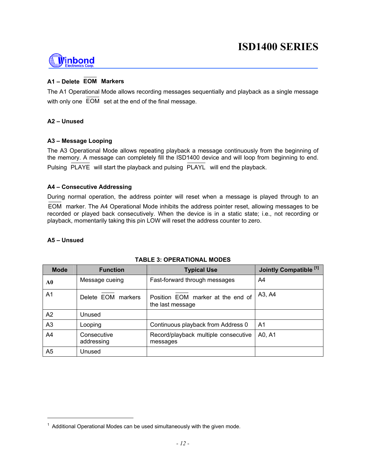## Vinbond

#### **A1 – Delete EOM Markers**

The A1 Operational Mode allows recording messages sequentially and playback as a single message with only one EOM set at the end of the final message.

#### **A2 – Unused**

#### **A3 – Message Looping**

The A3 Operational Mode allows repeating playback a message continuously from the beginning of the memory. A message can completely fill the ISD1400 device and will loop from beginning to end. Pulsing PLAYE will start the playback and pulsing PLAYL will end the playback.

#### **A4 – Consecutive Addressing**

During normal operation, the address pointer will reset when a message is played through to an EOM marker. The A4 Operational Mode inhibits the address pointer reset, allowing messages to be recorded or played back consecutively. When the device is in a static state; i.e., not recording or playback, momentarily taking this pin LOW will reset the address counter to zero.

#### **A5 – Unsued**

l

| <b>Mode</b>    | <b>Function</b>           | <b>Typical Use</b>                                    | Jointly Compatible <sup>[1]</sup> |
|----------------|---------------------------|-------------------------------------------------------|-----------------------------------|
| A0             | Message cueing            | Fast-forward through messages                         | A4                                |
| A <sub>1</sub> | Delete EOM markers        | Position EOM marker at the end of<br>the last message | A3, A4                            |
| A2             | Unused                    |                                                       |                                   |
| A <sub>3</sub> | Looping                   | Continuous playback from Address 0                    | A <sub>1</sub>                    |
| A4             | Consecutive<br>addressing | Record/playback multiple consecutive<br>messages      | A0, A1                            |
| A5             | Unused                    |                                                       |                                   |

#### **TABLE 3: OPERATIONAL MODES**

 $1$  Additional Operational Modes can be used simultaneously with the given mode.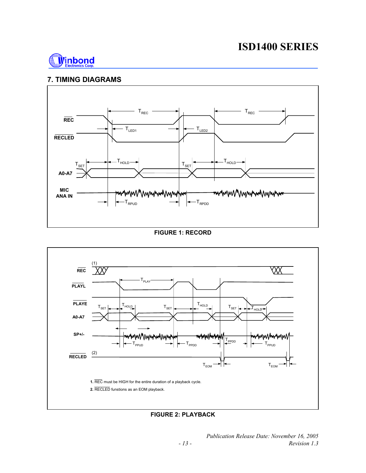

#### **7. TIMING DIAGRAMS**



#### **FIGURE 1: RECORD**



**FIGURE 2: PLAYBACK**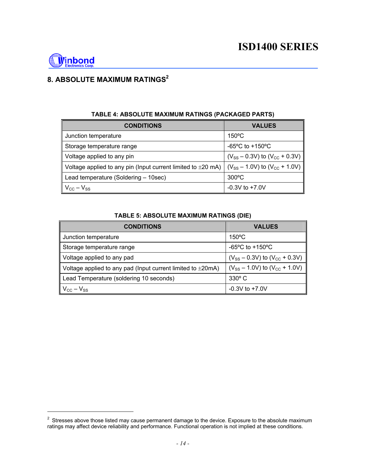

l

### **8. ABSOLUTE MAXIMUM RATINGS2**

| <b>CONDITIONS</b>                                                             | <b>VALUES</b>                            |
|-------------------------------------------------------------------------------|------------------------------------------|
| Junction temperature                                                          | $150^{\circ}$ C                          |
| Storage temperature range                                                     | -65 $^{\circ}$ C to +150 $^{\circ}$ C    |
| Voltage applied to any pin                                                    | $(V_{SS} - 0.3V)$ to $(V_{CC} + 0.3V)$   |
| $\parallel$ Voltage applied to any pin (Input current limited to $\pm 20$ mA) | $(V_{SS} - 1.0 V)$ to $(V_{CC} + 1.0 V)$ |
| Lead temperature (Soldering – 10sec)                                          | $300^{\circ}$ C                          |
| $\parallel$ V <sub>cc</sub> – V <sub>ss</sub>                                 | $-0.3V$ to $+7.0V$                       |

#### **TABLE 4: ABSOLUTE MAXIMUM RATINGS (PACKAGED PARTS)**

#### **TABLE 5: ABSOLUTE MAXIMUM RATINGS (DIE)**

| <b>CONDITIONS</b>                                                 | <b>VALUES</b>                          |
|-------------------------------------------------------------------|----------------------------------------|
| Junction temperature                                              | $150^{\circ}$ C                        |
| Storage temperature range                                         | $-65^{\circ}$ C to $+150^{\circ}$ C    |
| Voltage applied to any pad                                        | $(V_{SS} - 0.3V)$ to $(V_{CC} + 0.3V)$ |
| Voltage applied to any pad (Input current limited to $\pm 20$ mA) | $(V_{SS} - 1.0V)$ to $(V_{CC} + 1.0V)$ |
| Lead Temperature (soldering 10 seconds)                           | $330^\circ$ C                          |
| $V_{\rm CC} - V_{\rm SS}$                                         | $-0.3V$ to $+7.0V$                     |

 $2$  Stresses above those listed may cause permanent damage to the device. Exposure to the absolute maximum ratings may affect device reliability and performance. Functional operation is not implied at these conditions.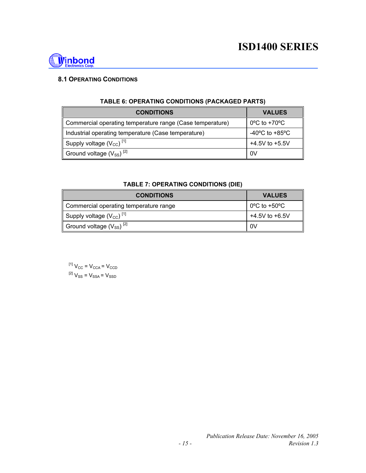

#### **8.1 OPERATING CONDITIONS**

| <b>CONDITIONS</b>                                         | <b>VALUES</b>                                        |
|-----------------------------------------------------------|------------------------------------------------------|
| Commercial operating temperature range (Case temperature) | $0^{\circ}$ C to +70 $^{\circ}$ C                    |
| Industrial operating temperature (Case temperature)       | -40 $\mathrm{^{\circ}C}$ to +85 $\mathrm{^{\circ}C}$ |
| Supply voltage $(V_{CC})$ <sup>[1]</sup>                  | $+4.5V$ to $+5.5V$                                   |
| Ground voltage $(V_{SS})^{[2]}$                           | 0V                                                   |

#### **TABLE 6: OPERATING CONDITIONS (PACKAGED PARTS)**

#### **TABLE 7: OPERATING CONDITIONS (DIE)**

| <b>CONDITIONS</b>                        | <b>VALUES</b>                     |
|------------------------------------------|-----------------------------------|
| Commercial operating temperature range   | $0^{\circ}$ C to +50 $^{\circ}$ C |
| Supply voltage $(V_{CC})$ <sup>[1]</sup> | $+4.5V$ to $+6.5V$                |
| Ground voltage $(V_{SS})^{[2]}$          | 0V                                |

 $^{[1]}$   $V_{CC}$  =  $V_{CCA}$  =  $V_{CCD}$  ${}^{[2]}V_{\rm SS} = V_{\rm SSA} = V_{\rm SSD}$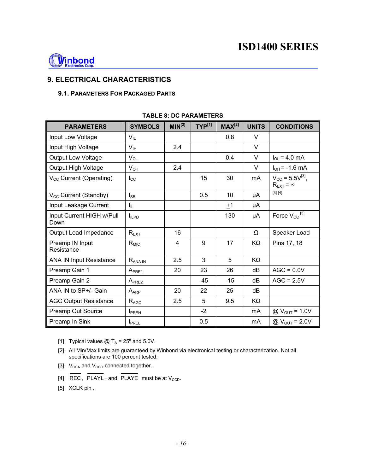

#### **9. ELECTRICAL CHARACTERISTICS**

#### **9.1. PARAMETERS FOR PACKAGED PARTS**

| <b>PARAMETERS</b>                   | <b>SYMBOLS</b>           | MIN <sup>[2]</sup> | $TYP^{[1]}$ | $MAX^{[2]}$ | <b>UNITS</b> | <b>CONDITIONS</b>                                           |
|-------------------------------------|--------------------------|--------------------|-------------|-------------|--------------|-------------------------------------------------------------|
| Input Low Voltage                   | $V_{IL}$                 |                    |             | 0.8         | V            |                                                             |
| Input High Voltage                  | V <sub>IH</sub>          | 2.4                |             |             | $\vee$       |                                                             |
| <b>Output Low Voltage</b>           | $V_{OL}$                 |                    |             | 0.4         | $\vee$       | $I_{OL} = 4.0$ mA                                           |
| Output High Voltage                 | $V_{OH}$                 | 2.4                |             |             | V            | $I_{OH} = -1.6$ mA                                          |
| $V_{\text{CC}}$ Current (Operating) | $I_{\rm CC}$             |                    | 15          | 30          | mA           | $V_{\rm CC}$ = 5.5 $V^{[3]}$ ,<br>$R_{\text{EXT}} = \infty$ |
| V <sub>cc</sub> Current (Standby)   | $I_{SB}$                 |                    | 0.5         | 10          | μA           | [3] [4]                                                     |
| Input Leakage Current               | Ι'n.                     |                    |             | ±1          | μA           |                                                             |
| Input Current HIGH w/Pull<br>Down   | $I_{ILPD}$               |                    |             | 130         | μA           | Force $V_{CC}$ <sup>[5]</sup>                               |
| Output Load Impedance               | $R_{EXT}$                | 16                 |             |             | Ω            | Speaker Load                                                |
| Preamp IN Input<br>Resistance       | $R_{MIC}$                | 4                  | 9           | 17          | KΩ           | Pins 17, 18                                                 |
| <b>ANA IN Input Resistance</b>      | $R_{ANA IN}$             | 2.5                | 3           | 5           | $K\Omega$    |                                                             |
| Preamp Gain 1                       | $A_{PRE1}$               | 20                 | 23          | 26          | dВ           | $AGC = 0.0V$                                                |
| Preamp Gain 2                       | A <sub>PRE2</sub>        |                    | $-45$       | $-15$       | dB           | $AGC = 2.5V$                                                |
| ANA IN to SP+/- Gain                | $A_{APP}$                | 20                 | 22          | 25          | dB           |                                                             |
| <b>AGC Output Resistance</b>        | $R_{\rm AGC}$            | 2.5                | 5           | 9.5         | KΩ           |                                                             |
| Preamp Out Source                   | <b>I</b> <sub>PREH</sub> |                    | $-2$        |             | mA           | $@V_{OUT} = 1.0V$                                           |
| Preamp In Sink                      | <b>I</b> PREL            |                    | 0.5         |             | mA           | $@V_{OUT} = 2.0V$                                           |

#### **TABLE 8: DC PARAMETERS**

[1] Typical values  $@T_A = 25^\circ$  and 5.0V.

[2] All Min/Max limits are guaranteed by Winbond via electronical testing or characterization. Not all specifications are 100 percent tested.

- [3]  $V_{\text{CCA}}$  and  $V_{\text{CCD}}$  connected together.
- [4]  $\overline{\text{REC}}$ ,  $\overline{\text{PLAYL}}$ , and  $\overline{\text{PLAYE}}$  must be at  $V_{\text{CCD}}$ .

[5] XCLK pin.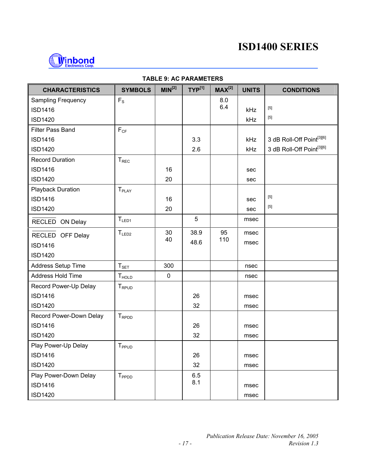

| <b>CHARACTERISTICS</b>    | <b>SYMBOLS</b>           | MIN <sup>[2]</sup> | $TYP^{[1]}$ | $MAX^{[2]}$ | <b>UNITS</b> | <b>CONDITIONS</b>                     |
|---------------------------|--------------------------|--------------------|-------------|-------------|--------------|---------------------------------------|
| <b>Sampling Frequency</b> | $F_S$                    |                    |             | 8.0         |              |                                       |
| <b>ISD1416</b>            |                          |                    |             | 6.4         | kHz          | $[5]$                                 |
| <b>ISD1420</b>            |                          |                    |             |             | kHz          | $[5]$                                 |
| Filter Pass Band          | $F_{CF}$                 |                    |             |             |              |                                       |
| <b>ISD1416</b>            |                          |                    | 3.3         |             | kHz          | 3 dB Roll-Off Point[3][6]             |
| <b>ISD1420</b>            |                          |                    | 2.6         |             | kHz          | 3 dB Roll-Off Point <sup>[3][6]</sup> |
| <b>Record Duration</b>    | $T_{REC}$                |                    |             |             |              |                                       |
| <b>ISD1416</b>            |                          | 16                 |             |             | sec          |                                       |
| <b>ISD1420</b>            |                          | 20                 |             |             | sec          |                                       |
| Playback Duration         | T <sub>PLAY</sub>        |                    |             |             |              |                                       |
| <b>ISD1416</b>            |                          | 16                 |             |             | sec          | $[5]$                                 |
| <b>ISD1420</b>            |                          | 20                 |             |             | sec          | $[5]$                                 |
| RECLED ON Delay           | $T_{LED1}$               |                    | 5           |             | msec         |                                       |
| RECLED OFF Delay          | $T_{LED2}$               | 30                 | 38.9        | 95          | msec         |                                       |
| <b>ISD1416</b>            |                          | 40                 | 48.6        | 110         | msec         |                                       |
| <b>ISD1420</b>            |                          |                    |             |             |              |                                       |
| Address Setup Time        | $T_{\texttt{SET}}$       | 300                |             |             | nsec         |                                       |
| Address Hold Time         | <b>T</b> <sub>HOLD</sub> | $\pmb{0}$          |             |             | nsec         |                                       |
| Record Power-Up Delay     | T <sub>RPUD</sub>        |                    |             |             |              |                                       |
| <b>ISD1416</b>            |                          |                    | 26          |             | msec         |                                       |
| <b>ISD1420</b>            |                          |                    | 32          |             | msec         |                                       |
| Record Power-Down Delay   | T <sub>RPDD</sub>        |                    |             |             |              |                                       |
| <b>ISD1416</b>            |                          |                    | 26          |             | msec         |                                       |
| <b>ISD1420</b>            |                          |                    | 32          |             | msec         |                                       |
| Play Power-Up Delay       | T <sub>PPUD</sub>        |                    |             |             |              |                                       |
| <b>ISD1416</b>            |                          |                    | 26          |             | msec         |                                       |
| <b>ISD1420</b>            |                          |                    | 32          |             | msec         |                                       |
| Play Power-Down Delay     | T <sub>PPDD</sub>        |                    | 6.5         |             |              |                                       |
| <b>ISD1416</b>            |                          |                    | 8.1         |             | msec         |                                       |
| <b>ISD1420</b>            |                          |                    |             |             | msec         |                                       |

#### **TABLE 9: AC PARAMETERS**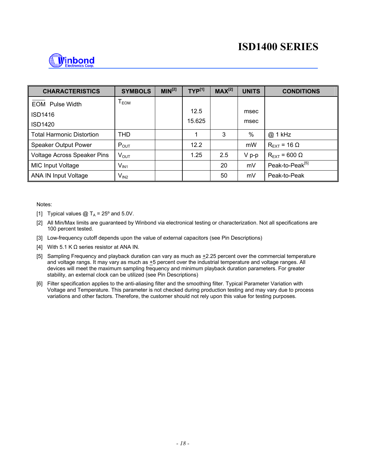

| <b>CHARACTERISTICS</b>           | <b>SYMBOLS</b>   | MIN <sup>[2]</sup> | $TYP^{[1]}$ | $MAX^{[2]}$ | <b>UNITS</b> | <b>CONDITIONS</b>               |
|----------------------------------|------------------|--------------------|-------------|-------------|--------------|---------------------------------|
| <b>EOM</b> Pulse Width           | T <sub>EOM</sub> |                    |             |             |              |                                 |
| <b>ISD1416</b>                   |                  |                    | 12.5        |             | msec         |                                 |
| <b>ISD1420</b>                   |                  |                    | 15.625      |             | msec         |                                 |
| <b>Total Harmonic Distortion</b> | <b>THD</b>       |                    | 1           | 3           | %            | @ 1 kHz                         |
| Speaker Output Power             | $P_{OUT}$        |                    | 12.2        |             | mW           | $R_{\text{FXT}}$ = 16 $\Omega$  |
| Voltage Across Speaker Pins      | $V_{OUT}$        |                    | 1.25        | 2.5         | $V p-p$      | $R_{\text{EXT}}$ = 600 $\Omega$ |
| MIC Input Voltage                | $V_{IN1}$        |                    |             | 20          | mV           | Peak-to-Peak <sup>[5]</sup>     |
| <b>ANA IN Input Voltage</b>      | $V_{IN2}$        |                    |             | 50          | mV           | Peak-to-Peak                    |

Notes:

- [1] Typical values  $@T_A = 25^\circ$  and 5.0V.
- [2] All Min/Max limits are guaranteed by Winbond via electronical testing or characterization. Not all specifications are 100 percent tested.
- [3] Low-frequency cutoff depends upon the value of external capacitors (see Pin Descriptions)
- [4] With 5.1 K  $\Omega$  series resistor at ANA IN.
- [5] Sampling Frequency and playback duration can vary as much as  $\pm 2.25$  percent over the commercial temperature and voltage rangs. It may vary as much as  $+5$  percent over the industrial temperature and voltage ranges. All devices will meet the maximum sampling frequency and minimum playback duration parameters. For greater stability, an external clock can be utilized (see Pin Descriptions)
- [6] Filter specification applies to the anti-aliasing filter and the smoothing filter. Typical Parameter Variation with Voltage and Temperature. This parameter is not checked during production testing and may vary due to process variations and other factors. Therefore, the customer should not rely upon this value for testing purposes.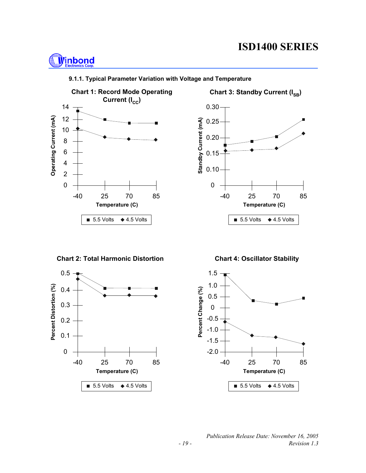## **Winbond**







**Chart 2: Total Harmonic Distortion**



**Chart 4: Oscillator Stability**

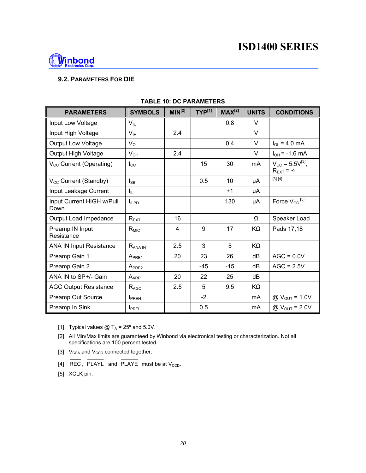

#### **9.2. PARAMETERS FOR DIE**

| <b>PARAMETERS</b>                   | <b>SYMBOLS</b>           | MIN <sup>[2]</sup> | $TYP^{[1]}$ | $MAX^{[2]}$ | <b>UNITS</b> | <b>CONDITIONS</b>                                             |
|-------------------------------------|--------------------------|--------------------|-------------|-------------|--------------|---------------------------------------------------------------|
| Input Low Voltage                   | $V_{IL}$                 |                    |             | 0.8         | V            |                                                               |
| Input High Voltage                  | $V_{\text{IH}}$          | 2.4                |             |             | V            |                                                               |
| <b>Output Low Voltage</b>           | $V_{OL}$                 |                    |             | 0.4         | V            | $I_{OL} = 4.0$ mA                                             |
| Output High Voltage                 | $V_{OH}$                 | 2.4                |             |             | $\vee$       | $I_{OH}$ = -1.6 mA                                            |
| V <sub>cc</sub> Current (Operating) | $I_{\rm CC}$             |                    | 15          | 30          | mA           | $V_{\rm CC}$ = 5.5 $V^{[3]}$ ,<br>$R_{\text{EXT}}$ = $\infty$ |
| V <sub>cc</sub> Current (Standby)   | $I_{\mathsf{SB}}$        |                    | 0.5         | 10          | μA           | [3] [4]                                                       |
| Input Leakage Current               | Ι'n.                     |                    |             | ±1          | μA           |                                                               |
| Input Current HIGH w/Pull<br>Down   | $I_{ILPD}$               |                    |             | 130         | μA           | Force $V_{CC}$ <sup>[5]</sup>                                 |
| Output Load Impedance               | $R_{EXT}$                | 16                 |             |             | Ω            | Speaker Load                                                  |
| Preamp IN Input<br>Resistance       | $R_{MIC}$                | 4                  | 9           | 17          | KΩ           | Pads 17,18                                                    |
| <b>ANA IN Input Resistance</b>      | $R_{ANA IN}$             | 2.5                | 3           | 5           | KΩ           |                                                               |
| Preamp Gain 1                       | A <sub>PRE1</sub>        | 20                 | 23          | 26          | dB           | $AGC = 0.0V$                                                  |
| Preamp Gain 2                       | $A_{PRE2}$               |                    | $-45$       | $-15$       | dB           | $AGC = 2.5V$                                                  |
| ANA IN to SP+/- Gain                | $A_{APP}$                | 20                 | 22          | 25          | dB           |                                                               |
| <b>AGC Output Resistance</b>        | $R_{AGC}$                | 2.5                | 5           | 9.5         | KΩ           |                                                               |
| Preamp Out Source                   | <b>I</b> <sub>PREH</sub> |                    | $-2$        |             | mA           | $@V_{OUT} = 1.0V$                                             |
| Preamp In Sink                      | <b>I</b> PREL            |                    | 0.5         |             | mA           | @ $V_{\text{OUT}} = 2.0 V$                                    |

#### **TABLE 10: DC PARAMETERS**

[1] Typical values  $@T_A = 25^\circ$  and 5.0V.

- [2] All Min/Max limits are guaranteed by Winbond via electronical testing or characterization. Not all specifications are 100 percent tested.
- [3]  $V_{\text{CCA}}$  and  $V_{\text{CCD}}$  connected together.
- [4] REC, PLAYL, and PLAYE must be at  $V_{CCD}$ .

[5] XCLK pin.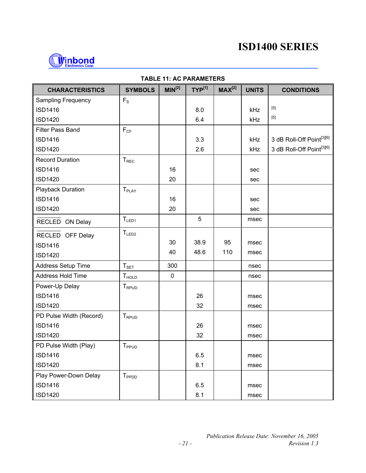

| <b>CHARACTERISTICS</b>    | <b>SYMBOLS</b>    | MIN <sup>[2]</sup> | TYP <sup>[1]</sup> | MAX <sup>[2]</sup> | <b>UNITS</b> | <b>CONDITIONS</b>         |
|---------------------------|-------------------|--------------------|--------------------|--------------------|--------------|---------------------------|
| <b>Sampling Frequency</b> | $F_S$             |                    |                    |                    |              |                           |
| <b>ISD1416</b>            |                   |                    | 8.0                |                    | kHz          | $[5]$                     |
| <b>ISD1420</b>            |                   |                    | 6.4                |                    | kHz          | $[5]$                     |
| Filter Pass Band          | $F_{CF}$          |                    |                    |                    |              |                           |
| <b>ISD1416</b>            |                   |                    | 3.3                |                    | kHz          | 3 dB Roll-Off Point[3][6] |
| <b>ISD1420</b>            |                   |                    | 2.6                |                    | kHz          | 3 dB Roll-Off Point[3][6] |
| <b>Record Duration</b>    | T <sub>REC</sub>  |                    |                    |                    |              |                           |
| <b>ISD1416</b>            |                   | 16                 |                    |                    | sec          |                           |
| <b>ISD1420</b>            |                   | 20                 |                    |                    | sec          |                           |
| <b>Playback Duration</b>  | T <sub>PLAY</sub> |                    |                    |                    |              |                           |
| <b>ISD1416</b>            |                   | 16                 |                    |                    | sec          |                           |
| <b>ISD1420</b>            |                   | 20                 |                    |                    | sec          |                           |
| RECLED ON Delay           | $T_{LED1}$        |                    | 5                  |                    | msec         |                           |
| RECLED OFF Delay          | $T_{LED2}$        |                    |                    |                    |              |                           |
| <b>ISD1416</b>            |                   | 30                 | 38.9               | 95                 | msec         |                           |
| <b>ISD1420</b>            |                   | 40                 | 48.6               | 110                | msec         |                           |
| Address Setup Time        | $T_{\text{SET}}$  | 300                |                    |                    | nsec         |                           |
| Address Hold Time         | T <sub>HOLD</sub> | $\pmb{0}$          |                    |                    | nsec         |                           |
| Power-Up Delay            | T <sub>RPUD</sub> |                    |                    |                    |              |                           |
| <b>ISD1416</b>            |                   |                    | 26                 |                    | msec         |                           |
| <b>ISD1420</b>            |                   |                    | 32                 |                    | msec         |                           |
| PD Pulse Width (Record)   | T <sub>RPUD</sub> |                    |                    |                    |              |                           |
| <b>ISD1416</b>            |                   |                    | 26                 |                    | msec         |                           |
| <b>ISD1420</b>            |                   |                    | 32                 |                    | msec         |                           |
| PD Pulse Width (Play)     | T <sub>PPUD</sub> |                    |                    |                    |              |                           |
| <b>ISD1416</b>            |                   |                    | 6.5                |                    | msec         |                           |
| <b>ISD1420</b>            |                   |                    | 8.1                |                    | msec         |                           |
| Play Power-Down Delay     | T <sub>PPDD</sub> |                    |                    |                    |              |                           |
| <b>ISD1416</b>            |                   |                    | 6.5                |                    | msec         |                           |
| <b>ISD1420</b>            |                   |                    | 8.1                |                    | msec         |                           |

#### **TABLE 11: AC PARAMETERS**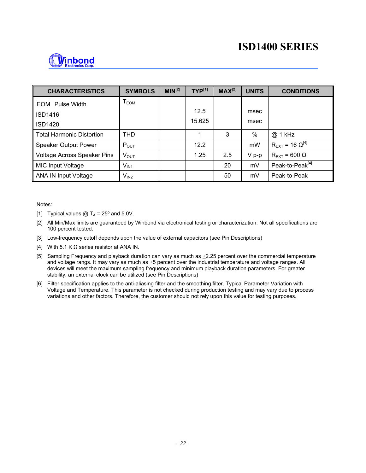

| <b>CHARACTERISTICS</b>           | <b>SYMBOLS</b>          | $MIN^{[2]}$ | $TYP^{[1]}$ | $MAX^{[2]}$ | <b>UNITS</b> | <b>CONDITIONS</b>                    |
|----------------------------------|-------------------------|-------------|-------------|-------------|--------------|--------------------------------------|
| <b>EOM</b> Pulse Width           | ${\mathsf T}_{\sf EOM}$ |             |             |             |              |                                      |
| ISD1416                          |                         |             | 12.5        |             | msec         |                                      |
| ISD1420                          |                         |             | 15.625      |             | msec         |                                      |
| <b>Total Harmonic Distortion</b> | <b>THD</b>              |             | 1           | 3           | %            | @ 1 kHz                              |
| <b>Speaker Output Power</b>      | $P_{OUT}$               |             | 12.2        |             | mW           | $R_{\text{EXT}}$ = 16 $\Omega^{[4]}$ |
| Voltage Across Speaker Pins      | $V_{\text{OUT}}$        |             | 1.25        | 2.5         | $V p-p$      | $R_{\text{EXT}}$ = 600 $\Omega$      |
| <b>MIC Input Voltage</b>         | $V_{IN1}$               |             |             | 20          | mV           | Peak-to-Peak <sup>[4]</sup>          |
| <b>ANA IN Input Voltage</b>      | $V_{IN2}$               |             |             | 50          | mV           | Peak-to-Peak                         |

Notes:

- [1] Typical values  $@T_A = 25^\circ$  and 5.0V.
- [2] All Min/Max limits are guaranteed by Winbond via electronical testing or characterization. Not all specifications are 100 percent tested.
- [3] Low-frequency cutoff depends upon the value of external capacitors (see Pin Descriptions)
- [4] With 5.1 K  $\Omega$  series resistor at ANA IN.
- [5] Sampling Frequency and playback duration can vary as much as  $\pm 2.25$  percent over the commercial temperature and voltage rangs. It may vary as much as  $+5$  percent over the industrial temperature and voltage ranges. All devices will meet the maximum sampling frequency and minimum playback duration parameters. For greater stability, an external clock can be utilized (see Pin Descriptions)
- [6] Filter specification applies to the anti-aliasing filter and the smoothing filter. Typical Parameter Variation with Voltage and Temperature. This parameter is not checked during production testing and may vary due to process variations and other factors. Therefore, the customer should not rely upon this value for testing purposes.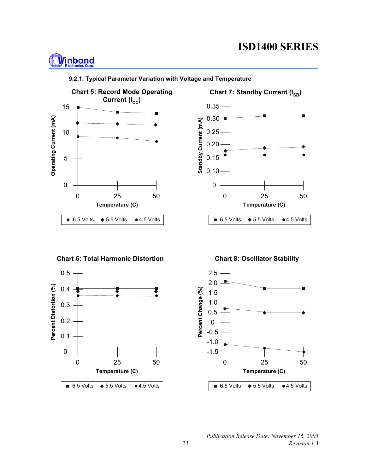## **Winbond**







**Chart 6: Total Harmonic Distortion**



**Chart 8: Oscillator Stability**

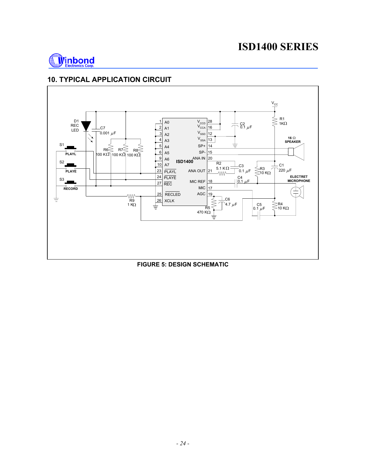

#### **10. TYPICAL APPLICATION CIRCUIT**



**FIGURE 5: DESIGN SCHEMATIC**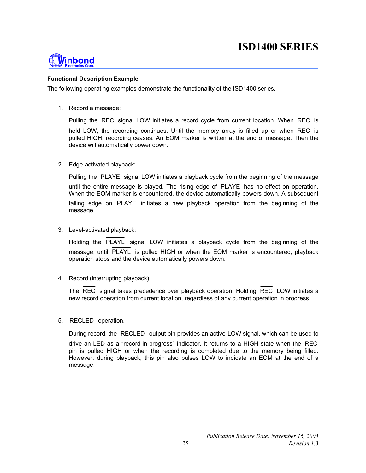

#### **Functional Description Example**

The following operating examples demonstrate the functionality of the ISD1400 series.

1. Record a message:

Pulling the REC signal LOW initiates a record cycle from current location. When REC is held LOW, the recording continues. Until the memory array is filled up or when REC is pulled HIGH, recording ceases. An EOM marker is written at the end of message. Then the device will automatically power down.

2. Edge-activated playback:

| Pulling the PLAYE signal LOW initiates a playback cycle from the beginning of the message                                                                                          |  |  |  |  |  |
|------------------------------------------------------------------------------------------------------------------------------------------------------------------------------------|--|--|--|--|--|
| until the entire message is played. The rising edge of PLAYE has no effect on operation.<br>When the EOM marker is encountered, the device automatically powers down. A subsequent |  |  |  |  |  |
| falling edge on PLAYE initiates a new playback operation from the beginning of the<br>message.                                                                                     |  |  |  |  |  |

3. Level-activated playback:

Holding the PLAYL signal LOW initiates a playback cycle from the beginning of the message, until PLAYL is pulled HIGH or when the EOM marker is encountered, playback operation stops and the device automatically powers down.

4. Record (interrupting playback).

The REC signal takes precedence over playback operation. Holding REC LOW initiates a new record operation from current location, regardless of any current operation in progress.

5. RECLED operation.

During record, the RECLED output pin provides an active-LOW signal, which can be used to

drive an LED as a "record-in-progress" indicator. It returns to a HIGH state when the REC pin is pulled HIGH or when the recording is completed due to the memory being filled. However, during playback, this pin also pulses LOW to indicate an EOM at the end of a message.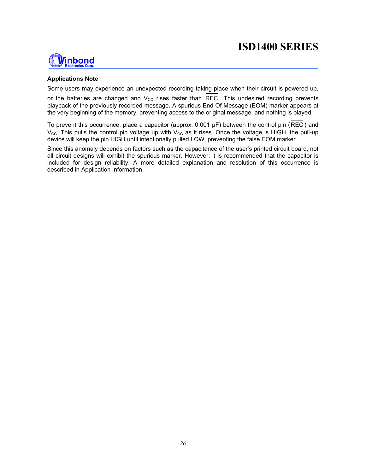

#### **Applications Note**

Some users may experience an unexpected recording taking place when their circuit is powered up,

or the batteries are changed and  $V_{CC}$  rises faster than REC. This undesired recording prevents playback of the previously recorded message. A spurious End Of Message (EOM) marker appears at the very beginning of the memory, preventing access to the original message, and nothing is played.

To prevent this occurrence, place a capacitor (approx. 0.001 µF) between the control pin (REC ) and  $V_{\text{CC}}$ . This pulls the control pin voltage up with  $V_{\text{CC}}$  as it rises. Once the voltage is HIGH, the pull-up device will keep the pin HIGH until intentionally pulled LOW, preventing the false EOM marker.

Since this anomaly depends on factors such as the capacitance of the user's printed circuit board, not all circuit designs will exhibit the spurious marker. However, it is recommended that the capacitor is included for design reliability. A more detailed explanation and resolution of this occurrence is described in Application Information.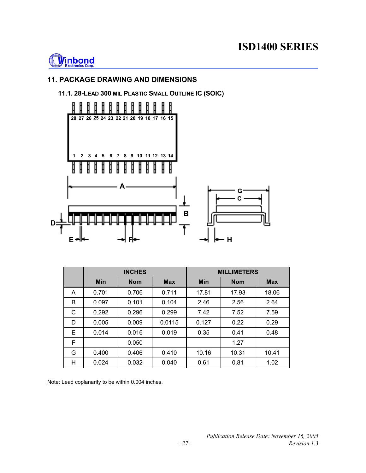

### **11. PACKAGE DRAWING AND DIMENSIONS**

#### **11.1. 28-LEAD 300 MIL PLASTIC SMALL OUTLINE IC (SOIC)**



|   |            | <b>INCHES</b> |            | <b>MILLIMETERS</b> |            |            |  |
|---|------------|---------------|------------|--------------------|------------|------------|--|
|   | <b>Min</b> | <b>Nom</b>    | <b>Max</b> | <b>Min</b>         | <b>Nom</b> | <b>Max</b> |  |
| A | 0.701      | 0.706         | 0.711      | 17.81              | 17.93      | 18.06      |  |
| B | 0.097      | 0.101         | 0.104      | 2.46               | 2.56       | 2.64       |  |
| C | 0.292      | 0.296         | 0.299      | 7.42               | 7.52       | 7.59       |  |
| D | 0.005      | 0.009         | 0.0115     | 0.127              | 0.22       | 0.29       |  |
| E | 0.014      | 0.016         | 0.019      | 0.35               | 0.41       | 0.48       |  |
| F |            | 0.050         |            |                    | 1.27       |            |  |
| G | 0.400      | 0.406         | 0.410      | 10.16              | 10.31      | 10.41      |  |
| н | 0.024      | 0.032         | 0.040      | 0.61               | 0.81       | 1.02       |  |

Note: Lead coplanarity to be within 0.004 inches.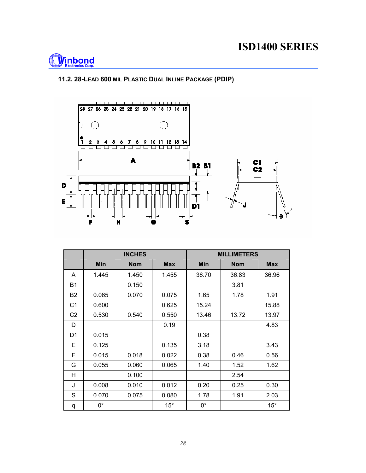

#### **11.2. 28-LEAD 600 MIL PLASTIC DUAL INLINE PACKAGE (PDIP)**



|                |             | <b>INCHES</b> |              | <b>MILLIMETERS</b> |            |              |  |
|----------------|-------------|---------------|--------------|--------------------|------------|--------------|--|
|                | Min         | <b>Nom</b>    | <b>Max</b>   | Min                | <b>Nom</b> | <b>Max</b>   |  |
| A              | 1.445       | 1.450         | 1.455        | 36.70              | 36.83      | 36.96        |  |
| <b>B1</b>      |             | 0.150         |              |                    | 3.81       |              |  |
| <b>B2</b>      | 0.065       | 0.070         | 0.075        | 1.65               | 1.78       | 1.91         |  |
| C <sub>1</sub> | 0.600       |               | 0.625        | 15.24              |            | 15.88        |  |
| C <sub>2</sub> | 0.530       | 0.540         | 0.550        | 13.46              | 13.72      | 13.97        |  |
| D              |             |               | 0.19         |                    |            | 4.83         |  |
| D <sub>1</sub> | 0.015       |               |              | 0.38               |            |              |  |
| E              | 0.125       |               | 0.135        | 3.18               |            | 3.43         |  |
| F              | 0.015       | 0.018         | 0.022        | 0.38               | 0.46       | 0.56         |  |
| G              | 0.055       | 0.060         | 0.065        | 1.40               | 1.52       | 1.62         |  |
| H              |             | 0.100         |              |                    | 2.54       |              |  |
| J              | 0.008       | 0.010         | 0.012        | 0.20               | 0.25       | 0.30         |  |
| S              | 0.070       | 0.075         | 0.080        | 1.78               | 1.91       | 2.03         |  |
| q              | $0^{\circ}$ |               | $15^{\circ}$ | $0^{\circ}$        |            | $15^{\circ}$ |  |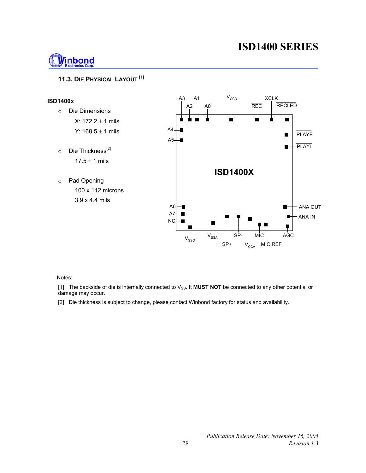

#### **11.3. DIE PHYSICAL LAYOUT [1]**



Notes:

[1] The backside of die is internally connected to V<sub>SS</sub>. It **MUST NOT** be connected to any other potential or damage may occur.

[2] Die thickness is subject to change, please contact Winbond factory for status and availability.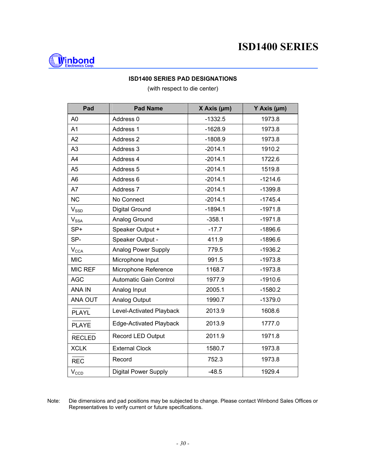

#### **ISD1400 SERIES PAD DESIGNATIONS**

(with respect to die center)

| Pad                                     | <b>Pad Name</b>               | $X$ Axis ( $\mu$ m) | Y Axis (µm) |
|-----------------------------------------|-------------------------------|---------------------|-------------|
| A <sub>0</sub>                          | Address 0                     | $-1332.5$           | 1973.8      |
| A <sub>1</sub>                          | Address 1                     | $-1628.9$           | 1973.8      |
| A2                                      | Address <sub>2</sub>          | $-1808.9$           | 1973.8      |
| A <sub>3</sub>                          | Address 3                     | $-2014.1$           | 1910.2      |
| A4                                      | Address 4                     | $-2014.1$           | 1722.6      |
| A <sub>5</sub>                          | Address 5                     | $-2014.1$           | 1519.8      |
| A <sub>6</sub>                          | Address 6                     | $-2014.1$           | $-1214.6$   |
| A7                                      | Address 7                     | $-2014.1$           | $-1399.8$   |
| <b>NC</b>                               | No Connect                    | $-2014.1$           | $-1745.4$   |
| $V_{\text{SSD}}$                        | <b>Digital Ground</b>         | $-1894.1$           | $-1971.8$   |
| $V_{SSA}$                               | Analog Ground                 |                     | $-1971.8$   |
| SP+                                     | Speaker Output +              |                     | $-1896.6$   |
| SP-                                     | Speaker Output -              | 411.9               | $-1896.6$   |
| $V_{\text{CCA}}$                        | Analog Power Supply           | 779.5               | $-1936.2$   |
| <b>MIC</b>                              | Microphone Input              | 991.5               | $-1973.8$   |
| MIC REF                                 | Microphone Reference          | 1168.7              | $-1973.8$   |
| <b>AGC</b>                              | <b>Automatic Gain Control</b> | 1977.9              | $-1910.6$   |
| <b>ANA IN</b>                           | Analog Input                  | 2005.1              | $-1580.2$   |
| ANA OUT                                 | Analog Output                 | 1990.7              | $-1379.0$   |
| <b>PLAYL</b>                            | Level-Activated Playback      | 2013.9              | 1608.6      |
| Edge-Activated Playback<br><b>PLAYE</b> |                               | 2013.9              | 1777.0      |
| <b>RECLED</b>                           | Record LED Output             |                     | 1971.8      |
| <b>XCLK</b>                             | <b>External Clock</b>         | 1580.7              | 1973.8      |
| <b>REC</b>                              | Record                        | 752.3               | 1973.8      |
| $V_{CCD}$                               | <b>Digital Power Supply</b>   | $-48.5$             | 1929.4      |

Note: Die dimensions and pad positions may be subjected to change. Please contact Winbond Sales Offices or Representatives to verify current or future specifications.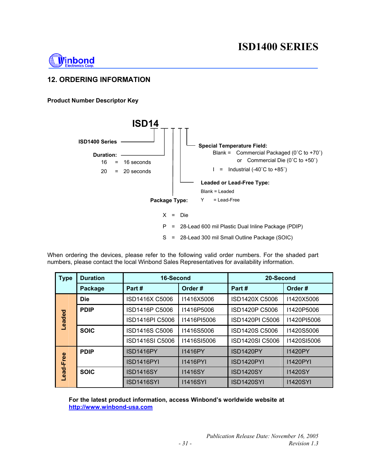

#### **12. ORDERING INFORMATION**

#### **Product Number Descriptor Key**



When ordering the devices, please refer to the following valid order numbers. For the shaded part numbers, please contact the local Winbond Sales Representatives for availability information.

| <b>Type</b>   | <b>Duration</b> | 16-Second         |                 | 20-Second              |                   |
|---------------|-----------------|-------------------|-----------------|------------------------|-------------------|
|               | Package         | Part#             | Order#          | Part#                  | Order#            |
|               | <b>Die</b>      | ISD1416X C5006    | 11416X5006      | ISD1420X C5006         | 11420X5006        |
|               | <b>PDIP</b>     | ISD1416P C5006    | I1416P5006      | <b>ISD1420P C5006</b>  | I1420P5006        |
| <b>Leaded</b> |                 | ISD1416PI C5006   | I1416PI5006     | ISD1420PI C5006        | 11420PI5006       |
|               | <b>SOIC</b>     | ISD1416S C5006    | I1416S5006      | ISD1420S C5006         | <b>I1420S5006</b> |
|               |                 | ISD1416SI C5006   | 11416SI5006     | <b>ISD1420SI C5006</b> | 11420SI5006       |
|               | <b>PDIP</b>     | <b>ISD1416PY</b>  | 11416PY         | ISD1420PY              | <b>I1420PY</b>    |
| Lead-Free     |                 | ISD1416PYI        | 11416PYI        | ISD1420PYI             | <b>I1420PYI</b>   |
|               | <b>SOIC</b>     | <b>ISD1416SY</b>  | 11416SY         | <b>ISD1420SY</b>       | <b>I1420SY</b>    |
|               |                 | <b>ISD1416SYI</b> | <b>I1416SYI</b> | <b>ISD1420SYI</b>      | <b>I1420SYI</b>   |

**For the latest product information, access Winbond's worldwide website at http://www.winbond-usa.com**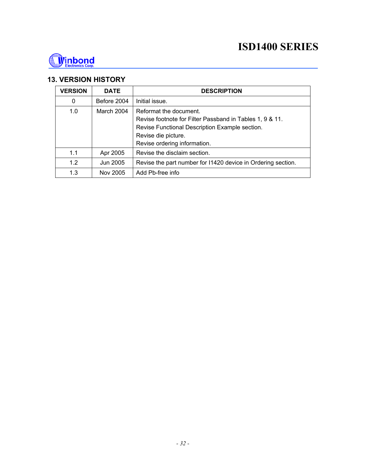

#### **13. VERSION HISTORY**

| <b>VERSION</b> | <b>DATE</b> | <b>DESCRIPTION</b>                                           |  |  |  |
|----------------|-------------|--------------------------------------------------------------|--|--|--|
| $\mathbf 0$    | Before 2004 | Initial issue.                                               |  |  |  |
| 1.0            | March 2004  | Reformat the document.                                       |  |  |  |
|                |             | Revise footnote for Filter Passband in Tables 1, 9 & 11.     |  |  |  |
|                |             | Revise Functional Description Example section.               |  |  |  |
|                |             | Revise die picture.                                          |  |  |  |
|                |             | Revise ordering information.                                 |  |  |  |
| 1.1            | Apr 2005    | Revise the disclaim section.                                 |  |  |  |
| 1.2            | Jun 2005    | Revise the part number for I1420 device in Ordering section. |  |  |  |
| 1.3            | Nov 2005    | Add Pb-free info                                             |  |  |  |